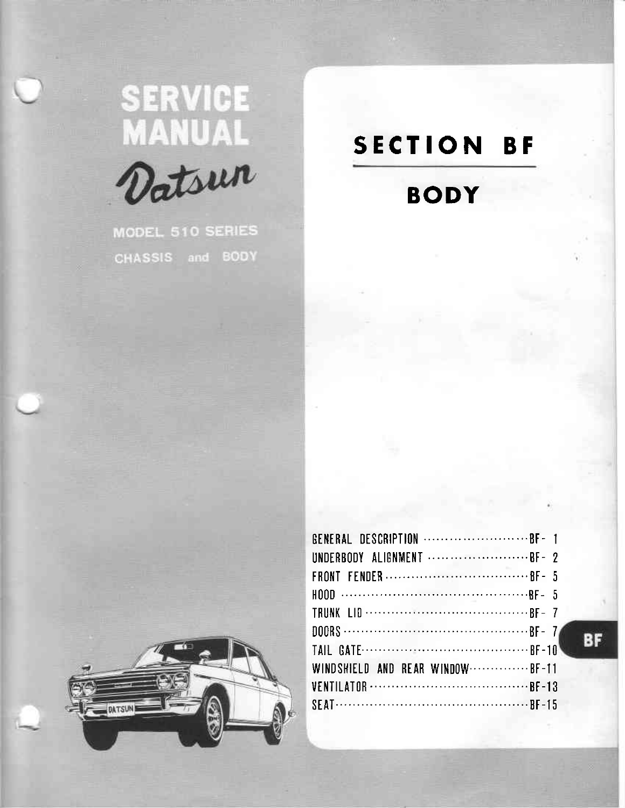# SERVICE<br>MANUAL<br>*Datsun*



MODEL 510 SERIES CHASSIS and BODY

# SECTION BF

# BODY



| UNDERBODY ALIGNMENT BF- ?         |  |
|-----------------------------------|--|
|                                   |  |
|                                   |  |
|                                   |  |
|                                   |  |
|                                   |  |
| WINDSHIELD AND REAR WINDOW  BF-11 |  |
|                                   |  |
|                                   |  |

BF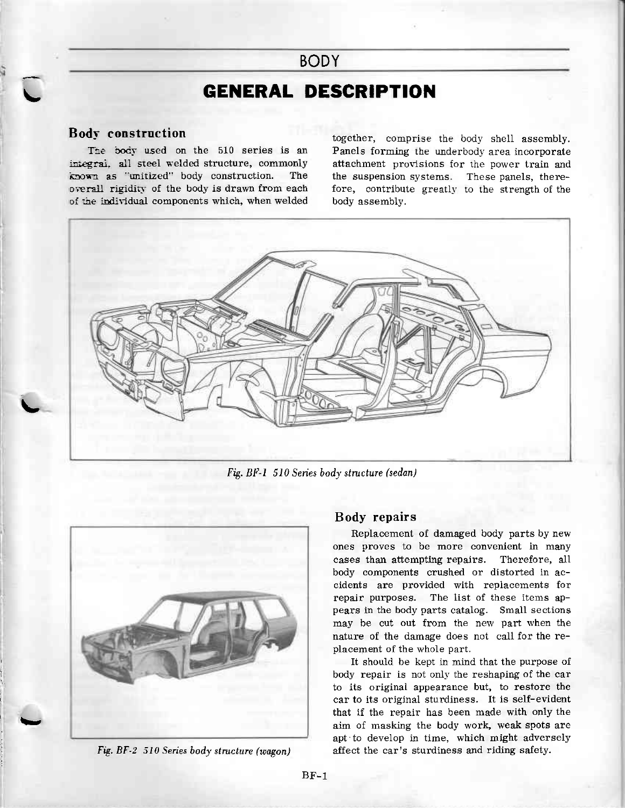# **GENERAL DESCRIPTION**

**BODY** 

### Body construction

I

 $\overline{\phantom{a}}$ 

i

l

tt

The body used on the 510 series is an integral. all steel welded structure, commonly known as "unitized" body construction. The overall rigidity of the body is drawn from each of the individual components which, when welded together, comprise the body shell assembly. Panels forming the underbody area incorporate attachment provisions for the power train and the suspension systems. These panels, therefore, contribute greatly to the strength of the body assembly.



Fis. BF-1 510 Senes body structure (sedan)



Fig. BF-2 510 Series body structure (wagon)

### Body repairs

Replacement of damaged body parts by new ones proves to be more convenient in many cases than attempting repairs. Therefore, all body components crushed or distorted in accidents are provided with replacements for repair purposes. The list of these items appears in the body parts catalog. Small sections may be cut out from the new part when the nature of the damage does not call for the replacement of the whole part.

It should be kept ir mind that the purpose of body repair is not only the reshaping of the car to its original appearance but, to restore the car to its original sturdiness. It is self-evident that if the repair has been made with only the aim of masking the body work, weak spots are apt to develop in time, which might adversely affect the car's sturdiness and riding safety.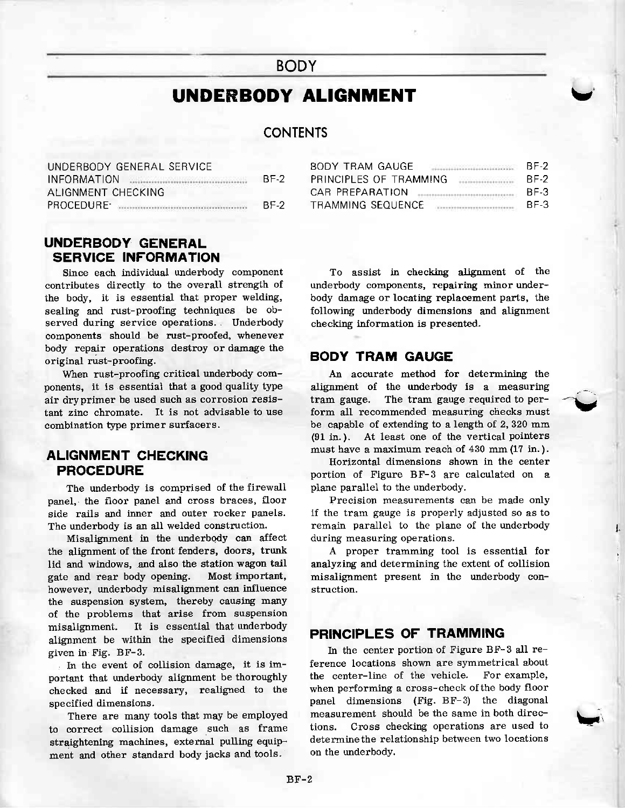# UNDERBODY ALIGNMENT

# CONTENTS

| UNDERBODY GENERAL SERVICE                                              |      |
|------------------------------------------------------------------------|------|
| INFORMATION                                                            | BE-2 |
| ALIGNMENT CHECKING                                                     |      |
| PROCEDURE-<br>the company of the company of the company of the company | BE-2 |

# UNDERBODY GENERAL SERVICE INFORMATION

Since each individual underbody component contributes directly to the overall strength of the body, it is essential that proper welding, sealing and rust-proofing techniques be observed during service operations. Underbody components should be rust-proofed, whenever body repair operations destroy or damage the original rust-proofing.

When rust-proofing critical underbody components, it is essentiai that a good quality type air dryprimer be used such as corrosion resistant zinc chromate. It is not advisable to use combination type primer surfacers.

# ALIGNMENT CHECKING PROCEDURE

The underbody is comprised of the firewall panel, the floor panel and cross braces, floor side rails and inner and outer rocker panels. The underbody is an all welded construction.

Misalignment in the underbody can affect the alignment of the front fenders, doors, trunk lid and windows, and also the station wagon tail gate and rear body opening. Most important, however, underbody misalignment can influence the suspension system, thereby causing many of the problems that arise from suspension misalignment. It is essential that underbody alignment be within the specified dimensions given in Fig. BF-3.

In the event of collision damage, it is important that underbody alignment be thoroughly checked and if necessary, realigned to the specified dimensions.

There are many tools that may be employed to correct collision damage such as frame straightening machines, external pulling equipment and other standard body jacks and tools.

| BODY TRAM GAUGF                                 | BF-2 |
|-------------------------------------------------|------|
| PRINCIPI ES OF TRAMMING<br>-------------------- | BF-2 |
| CAR PREPARATION                                 | BE-3 |
| TRAMMING SEOUFNCE                               | BE-3 |

v'

l.

\ri

To assist in checking alignment of the underbody components, repairing minor underbody damage or locating replacement parts, the following underbody dimensions and alignment checking information is presented-

# BODY TRAM GAUGE

An aceurate method for determining the aligrment of the underbody is a measuring  ${\rm tram}$  gauge. The  ${\rm tram}$  gauge  ${\rm required}$  to  ${\rm per-}$ form all recommended measuring checks must be capable of extending to a length of 2,320 mm  $(91$  in.). At least one of the vertical pointers must have a maximum reach of 430 mm (1? in. ).

Horizontal dimensions shown in the center portion of Figure BF-3 are calculated on a plane parallel to the underbody.

Precision measurements can be made only if the tram gauge is properly adjusted so as to remain parallel to the plane of the underbody during measuring operations.

A proper tramming tool is essential for analyzing and determining the extent of collision miselignment present in the underbody construction.

# PRINCIPLES OF TRAMMING

In the center portion of Figure BF-3 all reference locations shown are symmetrical about<br>the center-line of the vehicle. For example, the center-line of the vehicle. when performing a cross-check ofthe body floor panel dimensions (Fig. BF-3) the diagonal measurement should be the same in both directions. Cross checking operations are used to determinethe relationship between two locations on the underbodv.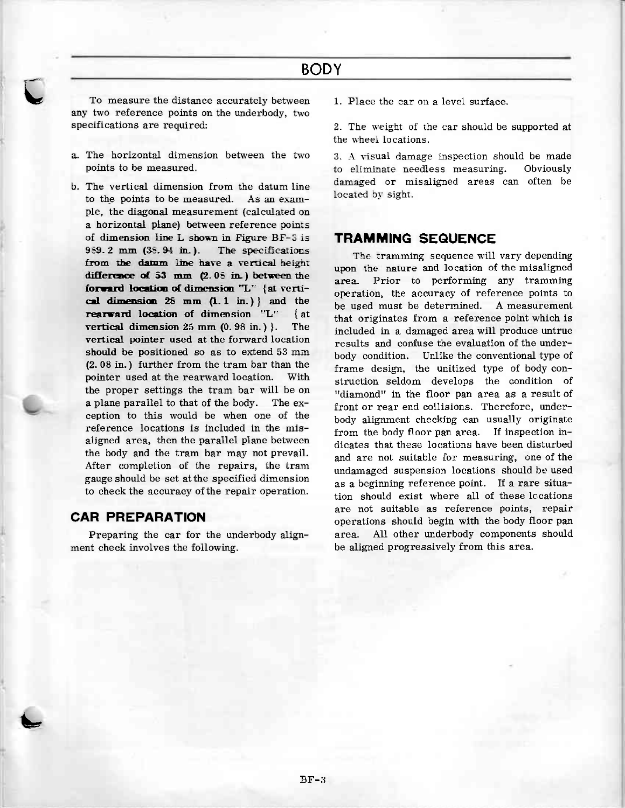To measure the distance accurately between any two reference points on the underbody, two specifications are required:

- a. The horizontal dimension between the two points to be measured.
- b. The vertical dimension from the datum line to the points to be measured. As an example, the diagonal measurement (calculated on a horizontal plane) between reference points of dimension line L shown in Figure BF-3 is  $959.2$  mm  $(35.94$  in.). The specifications from the datum line have a vertical height difference of 53 mm (2.05 in.) between the forward location of dimension "L" {at vertical dimension  $28$  mm  $(1.1$  in.) } and the rearward location of dimension "L" { at vertical dimension  $25 \text{ mm } (0.98 \text{ in.})$ . The vertical pointer used at the forward location should be positioned so as to extend 53 mm (2.08 in.) further from the tram bar than the pointer used at the rearward location. With the proper settings the tram bar will be on a plane parallel to that of the body. The exception to this would be when one of the reference locations is included in the misaligned area, then the parallel plane between the body and the tram bar may not prevail. After completion of the repairs, the tram gauge should be set at the specified dimension to check the accuracy of the repair operation.

### **CAR PREPARATION**

Preparing the car for the underbody alignment check involves the following.

1. Place the car on a level surface.

2. The weight of the car should be supported at the wheel locations.

3. A visual damage inspection should be made to eliminate needless measuring. Obviously damaged or misaligned areas can often be located by sight.

### **TRAMMING SEQUENCE**

The tramming sequence will vary depending upon the nature and location of the misaligned Prior to performing any tramming area. operation, the accuracy of reference points to be used must be determined. A measurement that originates from a reference point which is included in a damaged area will produce untrue results and confuse the evaluation of the underbody condition. Unlike the conventional type of frame design, the unitized type of body construction seldom develops the condition of "diamond" in the floor pan area as a result of front or rear end collisions. Therefore, underbody alignment checking can usually originate from the body floor pan area. If inspection indicates that these locations have been disturbed and are not suitable for measuring, one of the undamaged suspension locations should be used as a beginning reference point. If a rare situation should exist where all of these locations are not suitable as reference points, repair operations should begin with the body floor pan area. All other underbody components should be aligned progressively from this area.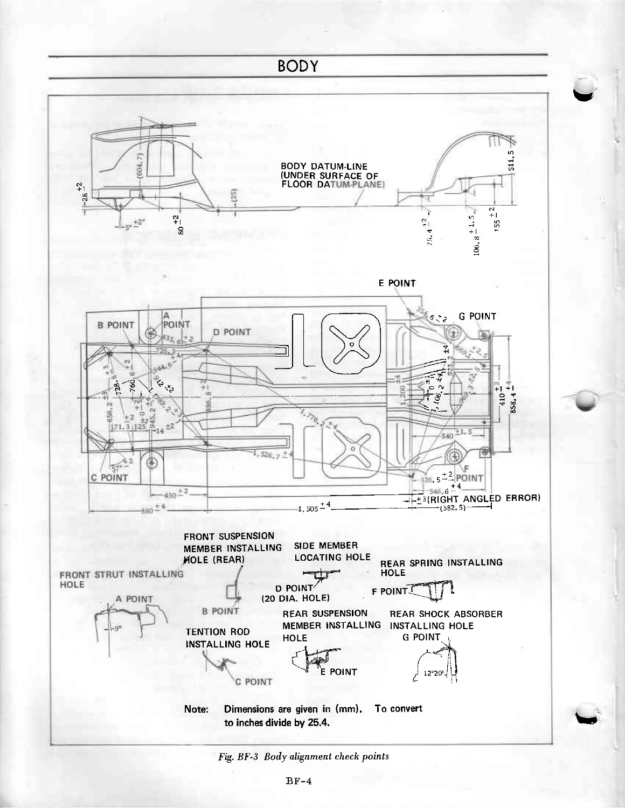

Fig. BF-3 Body alignment check points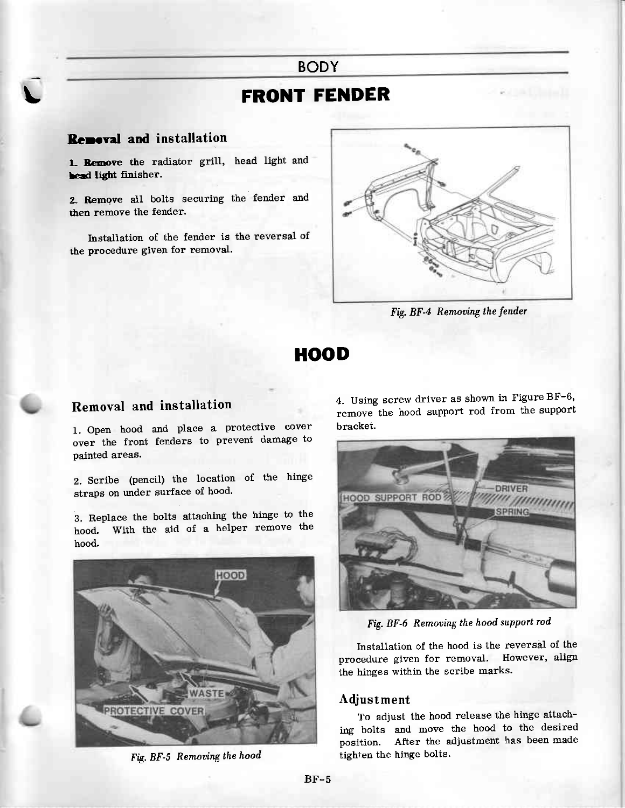# **FRONT FENDER**

# Removal and installation

1. Remove the radiator grill, head light and head light finisher.

2. Remove all bolts securing the fender and then remove the fender.

Installation of the fender is the reversal of the procedure given for removal.



Fig. BF-4 Removing the fender

# **HOOD**

### Removal and installation

1. Open hood and place a protective cover over the front fenders to prevent damage to painted areas.

2. Scribe (pencil) the location of the hinge straps on under surface of hood.

3. Replace the bolts attaching the hinge to the hood. With the ajd of a helper remove the bood.



Fig. BF-5 Removing the hood

4. Using screw driver as shown in Figure BF-6' remove the hood support rod from the support bracket.



Fig. BF-6 Removing the hood support rod

Installation of the hood is the reversal of the procedure given for removal. However, align the hinges within the scribe marks.

### Adjust ment

To adjust the hood release the hinge attaching bolts and move the hood to the desired position. After the adjustment has been made tighten the hinge bolts.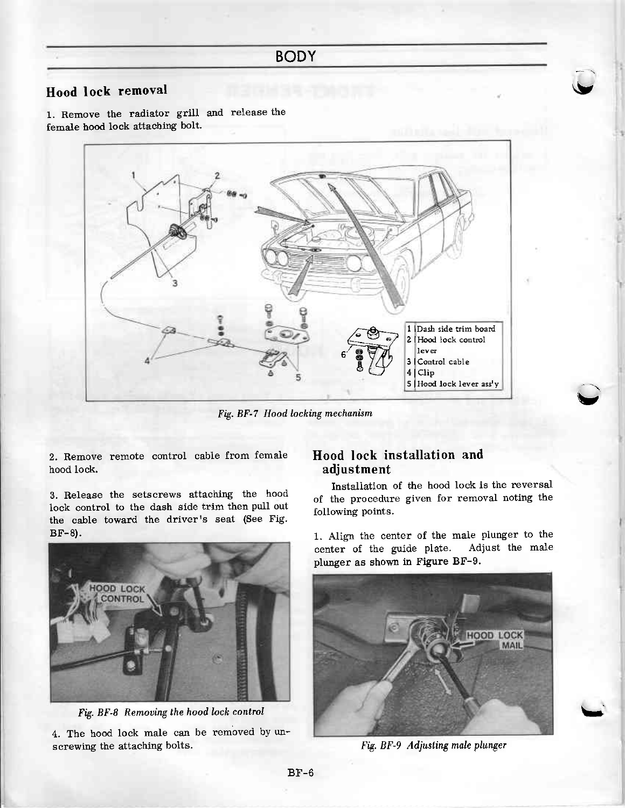# Hood lock removal contains the contract of the contract of the contract of the contract of the contract of the contract of the contract of the contract of the contract of the contract of the contract of the contract of the

1. Remove the radiator grill and release the female hood lock attaching bolt.



Fig. BF-7 Hood locking mechanism

2. Remove remote control cable from female hood lock.

3. Release the setscrews attaching the hood lock control to the dash side trim then puII out the cable toward the driver's seat (See Fig. BF-8).



Fig. BF-8 Removing the hood lock control

4. The hood lock male can be removed by unscrewing the attaching bolts.

# Hood lock installation and adjustment

Installation of the hood lock is the reversal of the procedure given for removal noting the following points.

V

U

1. Aligr the center of the male plunger to the center of the guide plate. Adjust the male plunger as shown in Figure BF-g.



Fig. BF-9 Adjusting male plunger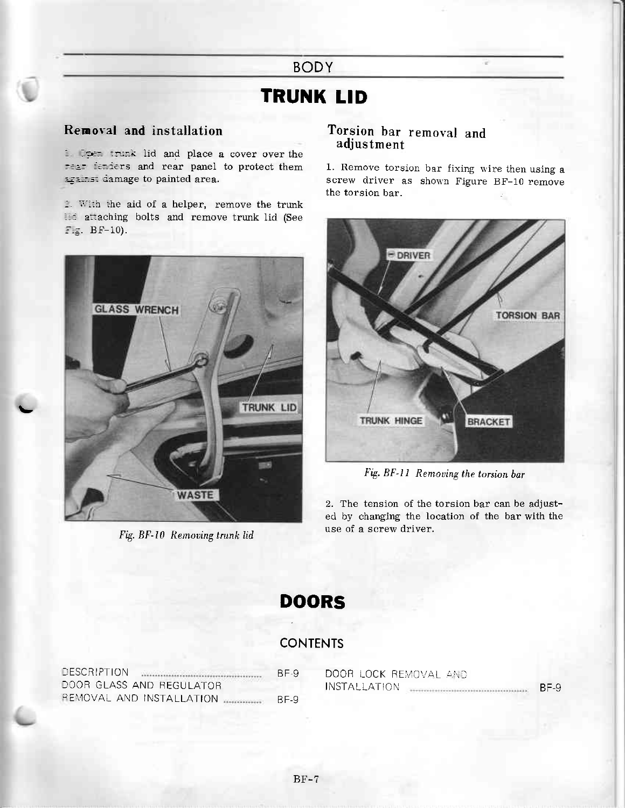# **TRUNK LID**

# Removal and installation

1. Open trunk lid and place a cover over the rear fenders and rear panel to protect them against damage to painted area.

2. With the aid of a helper, remove the trunk Ind attaching bolts and remove trunk lid (See Fig. BF-10).



Fig. BF-10 Removing trunk lid

# Torsion bar removal and adjustment

1. Remove torsion bar fixing wire then using a screw driver as shown Figure BF-10 remove the torsion bar.



Fig. BF-11 Removing the torsion bar

2. The tension of the torsion bar can be adjusted by changing the location of the bar with the use of a screw driver.

# **DOORS**

# **CONTENTS**

| DESCRIPTION              | BF-9 |
|--------------------------|------|
| DOOR GLASS AND REGULATOR |      |
| REMOVAL AND INSTALLATION | BE-9 |

| DOOR LOCK REMOVAL AND |      |
|-----------------------|------|
| INSTALI ATION.        | BE-9 |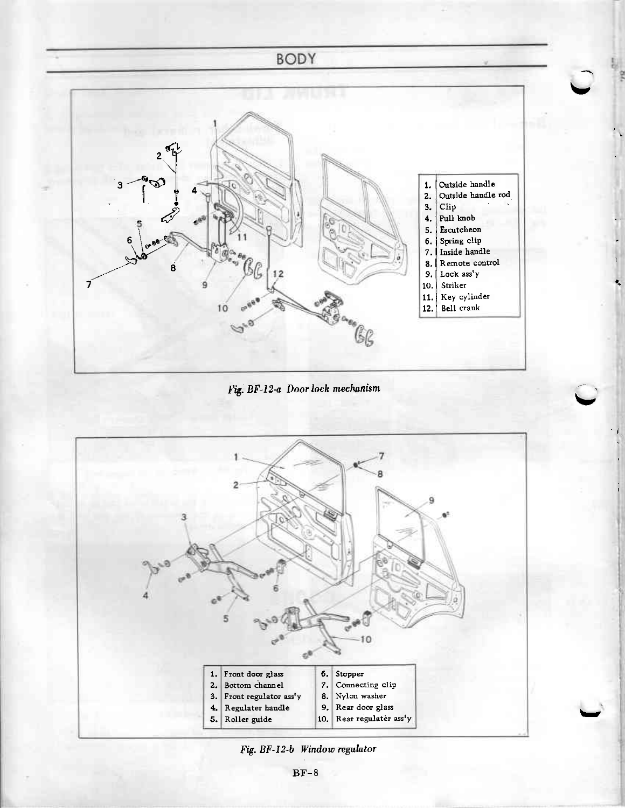

Fig. BF-12-a Door lock mechanism



Fig. BF-12-b Window regulator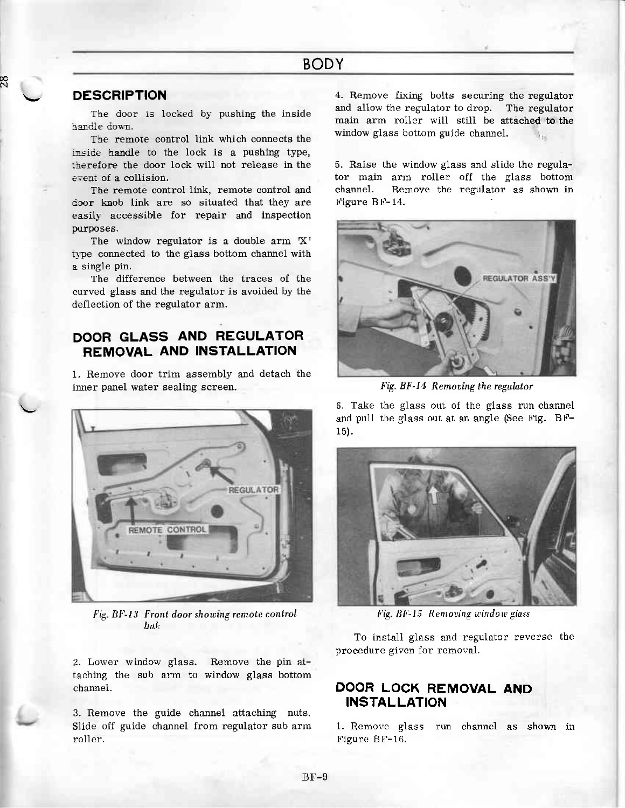### **DESCRIPTION**

N

The door is locked by pushing the inside handle down.

The remore control Iink which connects the inside handle to the lock is a pushing type, therefore the door lock will not release in the event of a collision.

The remote control link, remote control and door knob link are so situated that they are easily accessible for repair and inspection purposes.

The window regulator is a double arm X' type connected to the glass bottom channel with a single pin.

The difference between the traces of the curved glass and the regulator is avoided by the deflection of the regulator arm.

# DOOR GLASS AND REGULATOR REMOVAL AND INSTALLATION

1. Remove door trim assembly and detach the inner panel water sealing screen.



 $Fig. BF-13$  Front door showing remote control linh

2. Lower window glass. Remove the pin attaching the sub arm to window glass bottom chamel.

3. Remove the guide channel attaching nuts. Slide off guide channel from regulator sub arm ro11er.

4. Remove fixing bolts securing the regulator and allow the regulator to drop. The regulator main arm roller wiII still be attached to the window glass bottom guide channel.

5. Raise the window glass and slide the regulator main arm roller off the glass bottom channel. Remove the regulator as shown in Figure BF-14.



Fig. BF-14 Removing the regulator

6. Take the glass out of the glass run channel and pu11 the glass out at an angle (See Fig. BF-15).



Fig. BF-15 Removing window glass

To install glass and regulator reverse the procedure given for removal.

# DOOR LOCK REMOVAL AND INSTALLATION

1. Remove glass run channel as shown in Figure BF-16.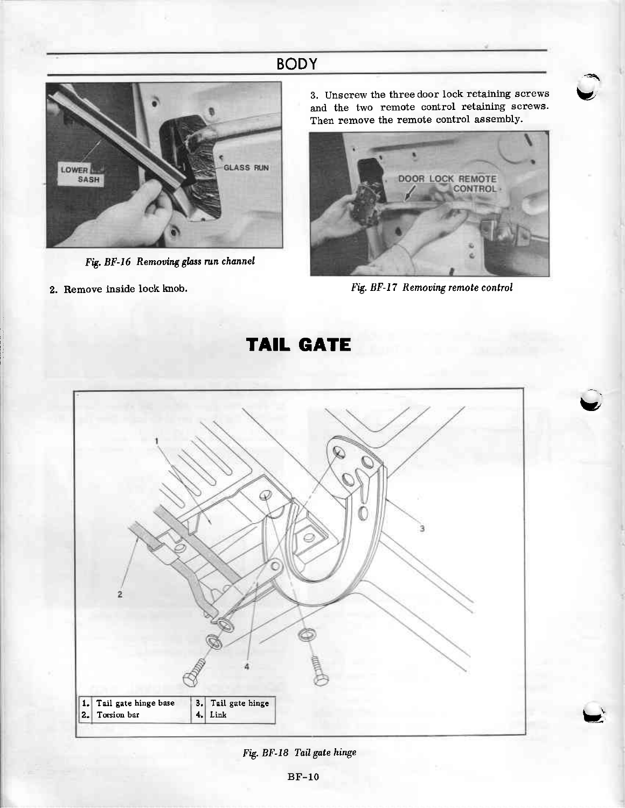

Fig. BF-16 Removing glass run channel

2. Remove inside lock knob.

3. Unscrew the three door lock retaining screws and the two remote control retaining screws. Then remove the remote control assembly.



Fig. BF-17 Remooing remote control

Y

**TAIL GATE** 



Fig. BF-18 TaiJ gate hinge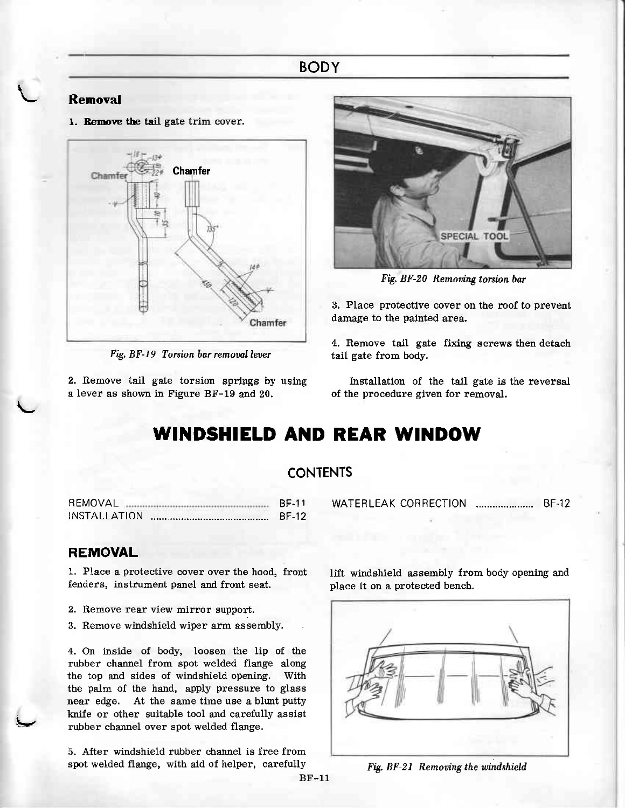# Rernoval

t

1. Remove the tail gate trim cover.



Fig. BF-19 Torsion bar removal lever

2. Remove tail gate torsion springs by using a lever as shown in Figure BF-19 and 20.



Fig. BF-20 Removing torsion bar

3. Place protective cover on the roof to prevent damage to the painted area.

4. Remove tail gate fixing screws then detach tail gate from body.

Installation of the tail gate is the reversal of the procedure given for removal.

# WINDSHIELD AND REAR WINDOW

### **CONTENTS**

F EMOVAL BF.1 1 INSTA L LATION BF-12

### REMOVAL

tg

1. Place a protective cover over the hood, front fenders, instrument panel and front seat.

- 2. Remove rear view mirror support.
- 3. Remove windshield wiper arm assembly.

4. On inside of body, loosen the lip of the rubber channel from spot welded flaage along the top and sides of windshield opening. With the palm of the hand, apply pressure to glass near edge. At the same time use a blunt putty knife or other suitable tool and carefully assist rubber channel over spot welded flange.

5- After wirdshield rubber channel is free from spot welded flange, with aid of helper, carefully WATERLEAK CORRECTION ........................ BF-12

lift windshield assembly from body opening and place it on a protected bench.



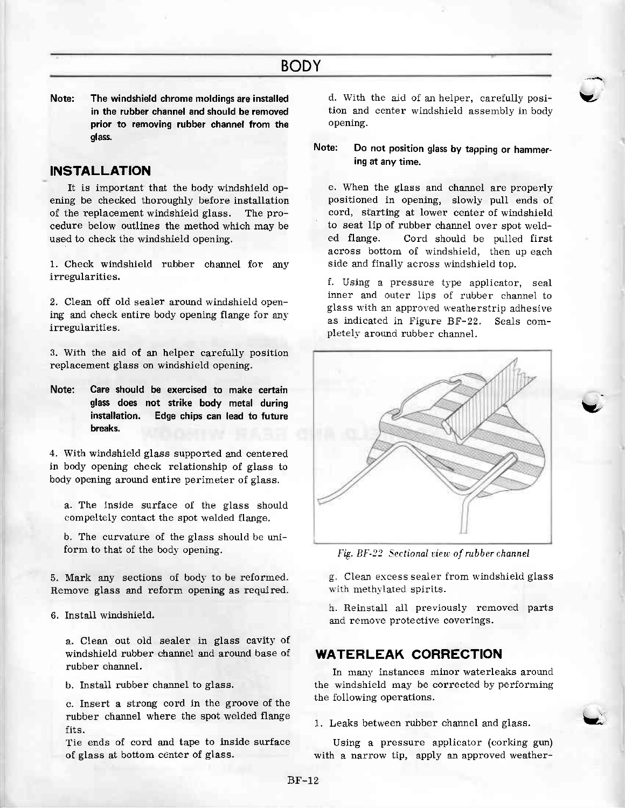Note: The windshield chrome moldings are installed in the rubber channel and should be removed prior to removing rubber channel from the alass.

# INSTALLATION

It is important that the body windshield opening be checked thoroughly before installation of the replacement windshield glass. The procedure below outlines the method which may be used to check the windshield opening.

1. Check windshield rubber channel for anv irregularities.

2. Clean off old sealer around windshield opening and check entire body opening flange for any irregularities.

3. With the aid of an helper carefully position replacement glass on windshield opening.

Note: Care should be exercised to make certain glass does not strike body metal during installation. Edge chips can lead to future breaks.

4. With windshield glass supported and centered in body opening check relationship of glass to body opening around entire perimeter of glass.

a. The inside surface of the glass should compeltely contact the spot welded flange.

b. The curvature of the glass should be uniform to that of the body opening.

5. Mark any sections of body to be reformed. Remove glass and reform opening as required.

6. Install windshield.

a. Clean out old sealer in glass cavity of windshield rubber channel and around base of rubber channel,

b. Install rubber chamel to glass.

c. Insert a strong cord in the groove of the rubber channel where the spot welded flange fits.

Tie ends of cord and tape to inside surface of glass at bottom center of glass.

d. With the aid of an helper, carefully position and center windshield assembly in body opening.

Note: Do not position glass by tapping or hammering at any time,

e. When the glass and chamel are properly positioned in opening, slowly pul1 ends of cord, starting at lower center of windshield to seat lip of rubber chamel over spot welded flange. Cord should be pu11ed first across bottom of windshield, then up each side and finally across wirdshield top.

f. Using a pressure type applicator, seal inner and outer lips of rubber channel to glass with an approved weatherstrip adhesive as indicated in Figure BF-22. Seals completely around rubber channel.



Fig. BF-22 Sectional view of rubber channel

g. Clean excess sealer from windshield glass with methylated spirits.

h. Reinstall all previously removed parts and remove protective coverings.

### WATERLEAK CORRECTION

In many instances minor waterleaks around the windshield may be corrected by performing the following operations.

1. Leaks between rubber channel and glass.

Using a pressure applicator (corking gun) with a narrow tip, apply an approved weather-



Y.

v